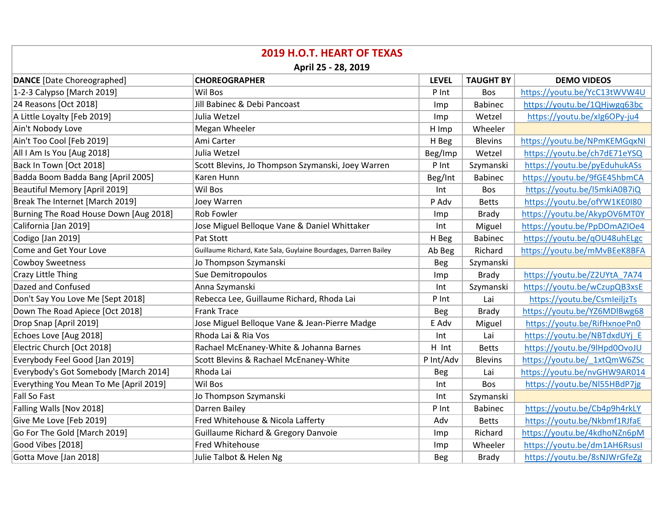| <b>2019 H.O.T. HEART OF TEXAS</b>      |                                                                 |              |                  |                              |  |  |  |
|----------------------------------------|-----------------------------------------------------------------|--------------|------------------|------------------------------|--|--|--|
| April 25 - 28, 2019                    |                                                                 |              |                  |                              |  |  |  |
| <b>DANCE</b> [Date Choreographed]      | <b>CHOREOGRAPHER</b>                                            | <b>LEVEL</b> | <b>TAUGHT BY</b> | <b>DEMO VIDEOS</b>           |  |  |  |
| 1-2-3 Calypso [March 2019]             | <b>Wil Bos</b>                                                  | P Int        | Bos              | https://youtu.be/YcC13tWVW4U |  |  |  |
| 24 Reasons [Oct 2018]                  | Jill Babinec & Debi Pancoast                                    | Imp          | <b>Babinec</b>   | https://youtu.be/1QHjwgq63bc |  |  |  |
| A Little Loyalty [Feb 2019]            | Julia Wetzel                                                    | Imp          | Wetzel           | https://youtu.be/xlg6OPy-ju4 |  |  |  |
| Ain't Nobody Love                      | Megan Wheeler                                                   | H Imp        | Wheeler          |                              |  |  |  |
| Ain't Too Cool [Feb 2019]              | Ami Carter                                                      | H Beg        | <b>Blevins</b>   | https://youtu.be/NPmKEMGqxNI |  |  |  |
| All I Am Is You [Aug 2018]             | Julia Wetzel                                                    | Beg/Imp      | Wetzel           | https://youtu.be/ch7dE71eYSQ |  |  |  |
| Back In Town [Oct 2018]                | Scott Blevins, Jo Thompson Szymanski, Joey Warren               | P Int        | Szymanski        | https://youtu.be/pyEduhukASs |  |  |  |
| Badda Boom Badda Bang [April 2005]     | Karen Hunn                                                      | Beg/Int      | <b>Babinec</b>   | https://youtu.be/9fGE45hbmCA |  |  |  |
| <b>Beautiful Memory [April 2019]</b>   | <b>Wil Bos</b>                                                  | Int          | <b>Bos</b>       | https://youtu.be/l5mkiA0B7iQ |  |  |  |
| Break The Internet [March 2019]        | Joey Warren                                                     | P Adv        | <b>Betts</b>     | https://youtu.be/ofYW1KE0I80 |  |  |  |
| Burning The Road House Down [Aug 2018] | <b>Rob Fowler</b>                                               | Imp          | <b>Brady</b>     | https://youtu.be/AkypOV6MT0Y |  |  |  |
| California [Jan 2019]                  | Jose Miguel Belloque Vane & Daniel Whittaker                    | Int          | Miguel           | https://youtu.be/PpDOmAZIOe4 |  |  |  |
| Codigo [Jan 2019]                      | Pat Stott                                                       | H Beg        | <b>Babinec</b>   | https://youtu.be/qOU48uhELgc |  |  |  |
| Come and Get Your Love                 | Guillaume Richard, Kate Sala, Guylaine Bourdages, Darren Bailey | Ab Beg       | Richard          | https://youtu.be/mMvBEeK8BFA |  |  |  |
| <b>Cowboy Sweetness</b>                | Jo Thompson Szymanski                                           | <b>Beg</b>   | Szymanski        |                              |  |  |  |
| Crazy Little Thing                     | Sue Demitropoulos                                               | Imp          | <b>Brady</b>     | https://youtu.be/Z2UYtA 7A74 |  |  |  |
| Dazed and Confused                     | Anna Szymanski                                                  | Int          | Szymanski        | https://youtu.be/wCzupQB3xsE |  |  |  |
| Don't Say You Love Me [Sept 2018]      | Rebecca Lee, Guillaume Richard, Rhoda Lai                       | P Int        | Lai              | https://youtu.be/CsmleiljzTs |  |  |  |
| Down The Road Apiece [Oct 2018]        | <b>Frank Trace</b>                                              | <b>Beg</b>   | <b>Brady</b>     | https://youtu.be/YZ6MDlBwg68 |  |  |  |
| Drop Snap [April 2019]                 | Jose Miguel Belloque Vane & Jean-Pierre Madge                   | E Adv        | Miguel           | https://youtu.be/RifHxnoePn0 |  |  |  |
| Echoes Love [Aug 2018]                 | Rhoda Lai & Ria Vos                                             | Int          | Lai              | https://youtu.be/NBTdxdUYj E |  |  |  |
| Electric Church [Oct 2018]             | Rachael McEnaney-White & Johanna Barnes                         | H Int        | <b>Betts</b>     | https://youtu.be/9lHpd0OvoJU |  |  |  |
| Everybody Feel Good [Jan 2019]         | Scott Blevins & Rachael McEnaney-White                          | P Int/Adv    | Blevins          | https://youtu.be/ 1xtQmW6ZSc |  |  |  |
| Everybody's Got Somebody [March 2014]  | Rhoda Lai                                                       | <b>Beg</b>   | Lai              | https://youtu.be/nvGHW9AR014 |  |  |  |
| Everything You Mean To Me [April 2019] | Wil Bos                                                         | Int          | Bos              | https://youtu.be/NI55HBdP7jg |  |  |  |
| <b>Fall So Fast</b>                    | Jo Thompson Szymanski                                           | Int          | Szymanski        |                              |  |  |  |
| Falling Walls [Nov 2018]               | Darren Bailey                                                   | P Int        | <b>Babinec</b>   | https://youtu.be/Cb4p9h4rkLY |  |  |  |
| Give Me Love [Feb 2019]                | Fred Whitehouse & Nicola Lafferty                               | Adv          | <b>Betts</b>     | https://youtu.be/Nkbmf1RJfaE |  |  |  |
| Go For The Gold [March 2019]           | Guillaume Richard & Gregory Danvoie                             | Imp          | Richard          | https://youtu.be/4kdhoNZn6pM |  |  |  |
| Good Vibes [2018]                      | <b>Fred Whitehouse</b>                                          | Imp          | Wheeler          | https://youtu.be/dm1AH6Rsusl |  |  |  |
| Gotta Move [Jan 2018]                  | Julie Talbot & Helen Ng                                         | <b>Beg</b>   | <b>Brady</b>     | https://youtu.be/8sNJWrGfeZg |  |  |  |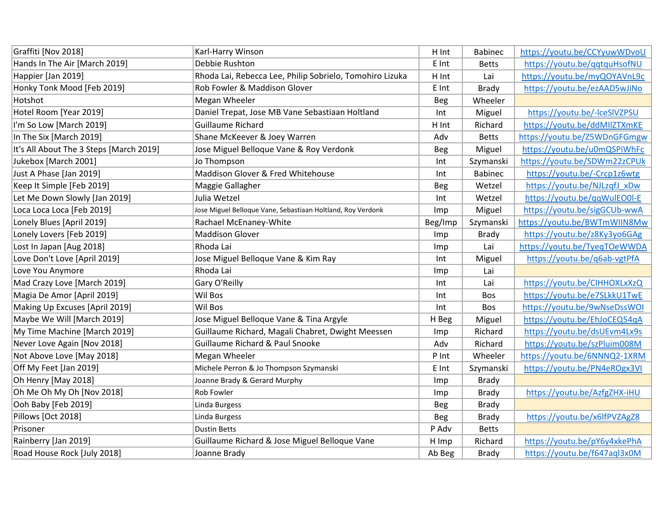| Graffiti [Nov 2018]                     | Karl-Harry Winson                                           | H Int      | <b>Babinec</b> | https://youtu.be/CCYyuwWDvoU |
|-----------------------------------------|-------------------------------------------------------------|------------|----------------|------------------------------|
| Hands In The Air [March 2019]           | Debbie Rushton                                              | E Int      | <b>Betts</b>   | https://youtu.be/qqtquHsofNU |
| Happier [Jan 2019]                      | Rhoda Lai, Rebecca Lee, Philip Sobrielo, Tomohiro Lizuka    | H Int      | Lai            | https://youtu.be/myQOYAVnL9c |
| Honky Tonk Mood [Feb 2019]              | Rob Fowler & Maddison Glover                                | E Int      | <b>Brady</b>   | https://youtu.be/ezAAD5wJiNo |
| Hotshot                                 | Megan Wheeler                                               | <b>Beg</b> | Wheeler        |                              |
| Hotel Room [Year 2019]                  | Daniel Trepat, Jose MB Vane Sebastiaan Holtland             | Int        | Miguel         | https://youtu.be/-lceSIVZPSU |
| I'm So Low [March 2019]                 | <b>Guillaume Richard</b>                                    | H Int      | Richard        | https://youtu.be/ddMIIZTXmKE |
| In The Six [March 2019]                 | Shane McKeever & Joey Warren                                | Adv        | <b>Betts</b>   | https://youtu.be/Z5WDnGFGmgw |
| It's All About The 3 Steps [March 2019] | Jose Miguel Belloque Vane & Roy Verdonk                     | <b>Beg</b> | Miguel         | https://youtu.be/u0mQSPiWhFc |
| Jukebox [March 2001]                    | Jo Thompson                                                 | Int        | Szymanski      | https://youtu.be/SDWm22zCPUk |
| Just A Phase [Jan 2019]                 | Maddison Glover & Fred Whitehouse                           | Int        | <b>Babinec</b> | https://youtu.be/-Crcp1z6wtg |
| Keep It Simple [Feb 2019]               | Maggie Gallagher                                            | <b>Beg</b> | Wetzel         | https://youtu.be/NJLzqfJ xDw |
| Let Me Down Slowly [Jan 2019]           | Julia Wetzel                                                | Int        | Wetzel         | https://youtu.be/qqWulEO0l-E |
| Loca Loca Loca [Feb 2019]               | Jose Miguel Belloque Vane, Sebastiaan Holtland, Roy Verdonk | Imp        | Miguel         | https://youtu.be/sigGCUb-wwA |
| Lonely Blues [April 2019]               | Rachael McEnaney-White                                      | Beg/Imp    | Szymanski      | https://youtu.be/BWTmWIIN8Mw |
| Lonely Lovers [Feb 2019]                | <b>Maddison Glover</b>                                      | Imp        | <b>Brady</b>   | https://youtu.be/z8Ky3yo6GAg |
| Lost In Japan [Aug 2018]                | Rhoda Lai                                                   | Imp        | Lai            | https://youtu.be/TyeqTOeWWDA |
| Love Don't Love [April 2019]            | Jose Miguel Belloque Vane & Kim Ray                         | Int        | Miguel         | https://youtu.be/q6ab-vgtPfA |
| Love You Anymore                        | Rhoda Lai                                                   | Imp        | Lai            |                              |
| Mad Crazy Love [March 2019]             | Gary O'Reilly                                               | Int        | Lai            | https://youtu.be/CIHHOXLxXzQ |
| Magia De Amor [April 2019]              | Wil Bos                                                     | Int        | Bos            | https://youtu.be/e7SLkkU1TwE |
| Making Up Excuses [April 2019]          | Wil Bos                                                     | Int        | Bos            | https://youtu.be/9wNseDssWOI |
| Maybe We Will [March 2019]              | Jose Miguel Belloque Vane & Tina Argyle                     | H Beg      | Miguel         | https://youtu.be/EhJoCEQ54qA |
| My Time Machine [March 2019]            | Guillaume Richard, Magali Chabret, Dwight Meessen           | Imp        | Richard        | https://youtu.be/dsUEvm4Lx9s |
| Never Love Again [Nov 2018]             | Guillaume Richard & Paul Snooke                             | Adv        | Richard        | https://youtu.be/szPluim008M |
| Not Above Love [May 2018]               | Megan Wheeler                                               | P Int      | Wheeler        | https://youtu.be/6NNNQ2-1XRM |
| Off My Feet [Jan 2019]                  | Michele Perron & Jo Thompson Szymanski                      | E Int      | Szymanski      | https://youtu.be/PN4eROgx3VI |
| Oh Henry [May 2018]                     | Joanne Brady & Gerard Murphy                                | Imp        | <b>Brady</b>   |                              |
| Oh Me Oh My Oh [Nov 2018]               | Rob Fowler                                                  | <b>Imp</b> | <b>Brady</b>   | https://youtu.be/AzfgZHX-iHU |
| Ooh Baby [Feb 2019]                     | Linda Burgess                                               | Beg        | <b>Brady</b>   |                              |
| Pillows [Oct 2018]                      | Linda Burgess                                               | <b>Beg</b> | <b>Brady</b>   | https://youtu.be/x6lfPVZAgZ8 |
| Prisoner                                | <b>Dustin Betts</b>                                         | P Adv      | <b>Betts</b>   |                              |
| Rainberry [Jan 2019]                    | Guillaume Richard & Jose Miguel Belloque Vane               | H Imp      | Richard        | https://youtu.be/pY6y4xkePhA |
| Road House Rock [July 2018]             | Joanne Brady                                                | Ab Beg     | <b>Brady</b>   | https://youtu.be/f647aql3x0M |